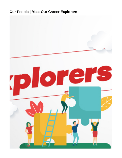# **Our People | Meet Our Career Explorers**

<span id="page-0-0"></span>